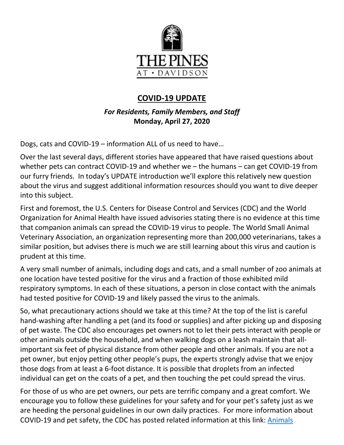

# **COVID-19 UPDATE**

*For Residents, Family Members, and Staff* **Monday, April 27, 2020**

Dogs, cats and COVID-19 – information ALL of us need to have…

Over the last several days, different stories have appeared that have raised questions about whether pets can contract COVID-19 and whether we – the humans – can get COVID-19 from our furry friends. In today's UPDATE introduction we'll explore this relatively new question about the virus and suggest additional information resources should you want to dive deeper into this subject.

First and foremost, the U.S. Centers for Disease Control and Services (CDC) and the World Organization for Animal Health have issued advisories stating there is no evidence at this time that companion animals can spread the COVID-19 virus to people. The World Small Animal Veterinary Association, an organization representing more than 200,000 veterinarians, takes a similar position, but advises there is much we are still learning about this virus and caution is prudent at this time.

A very small number of animals, including dogs and cats, and a small number of zoo animals at one location have tested positive for the virus and a fraction of those exhibited mild respiratory symptoms. In each of these situations, a person in close contact with the animals had tested positive for COVID-19 and likely passed the virus to the animals.

So, what precautionary actions should we take at this time? At the top of the list is careful hand-washing after handling a pet (and its food or supplies) and after picking up and disposing of pet waste. The CDC also encourages pet owners not to let their pets interact with people or other animals outside the household, and when walking dogs on a leash maintain that allimportant six feet of physical distance from other people and other animals. If you are not a pet owner, but enjoy petting other people's pups, the experts strongly advise that we enjoy those dogs from at least a 6-foot distance. It is possible that droplets from an infected individual can get on the coats of a pet, and then touching the pet could spread the virus.

For those of us who are pet owners, our pets are terrific company and a great comfort. We encourage you to follow these guidelines for your safety and for your pet's safety just as we are heeding the personal guidelines in our own daily practices. For more information about COVID-19 and pet safety, the CDC has posted related information at this link: [Animals](https://www.cdc.gov/coronavirus/2019-ncov/daily-life-coping/animals.html)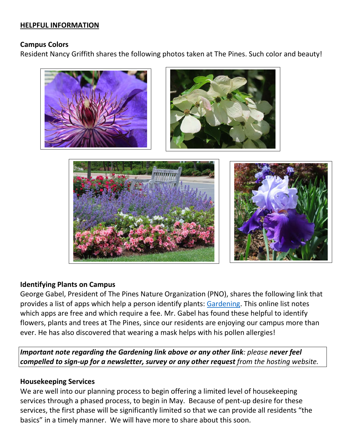### **HELPFUL INFORMATION**

#### **Campus Colors**

Resident Nancy Griffith shares the following photos taken at The Pines. Such color and beauty!









### **Identifying Plants on Campus**

George Gabel, President of The Pines Nature Organization (PNO), shares the following link that provides a list of apps which help a person identify plants: [Gardening.](https://youhadmeatgardening.com/best-plant-identification-app/) This online list notes which apps are free and which require a fee. Mr. Gabel has found these helpful to identify flowers, plants and trees at The Pines, since our residents are enjoying our campus more than ever. He has also discovered that wearing a mask helps with his pollen allergies!

*Important note regarding the Gardening link above or any other link: please never feel compelled to sign-up for a newsletter, survey or any other request from the hosting website.*

#### **Housekeeping Services**

We are well into our planning process to begin offering a limited level of housekeeping services through a phased process, to begin in May. Because of pent-up desire for these services, the first phase will be significantly limited so that we can provide all residents "the basics" in a timely manner. We will have more to share about this soon.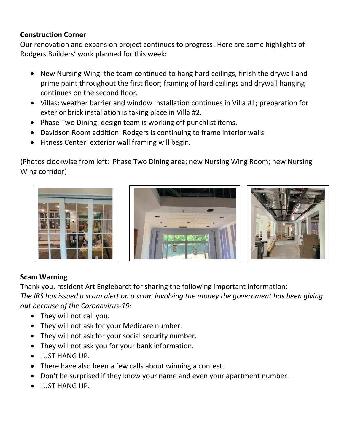# **Construction Corner**

Our renovation and expansion project continues to progress! Here are some highlights of Rodgers Builders' work planned for this week:

- New Nursing Wing: the team continued to hang hard ceilings, finish the drywall and prime paint throughout the first floor; framing of hard ceilings and drywall hanging continues on the second floor.
- Villas: weather barrier and window installation continues in Villa #1; preparation for exterior brick installation is taking place in Villa #2.
- Phase Two Dining: design team is working off punchlist items.
- Davidson Room addition: Rodgers is continuing to frame interior walls.
- Fitness Center: exterior wall framing will begin.

(Photos clockwise from left: Phase Two Dining area; new Nursing Wing Room; new Nursing Wing corridor)







## **Scam Warning**

Thank you, resident Art Englebardt for sharing the following important information: *The IRS has issued a scam alert on a scam involving the money the government has been giving out because of the Coronavirus-19:*

- They will not call you.
- They will not ask for your Medicare number.
- They will not ask for your social security number.
- They will not ask you for your bank information.
- JUST HANG UP.
- There have also been a few calls about winning a contest.
- Don't be surprised if they know your name and even your apartment number.
- JUST HANG UP.